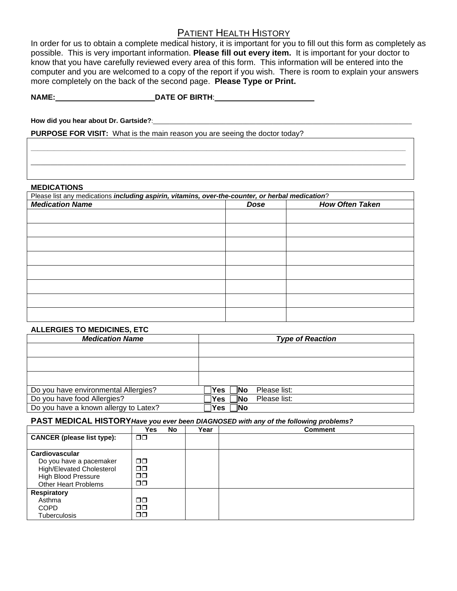# PATIENT HEALTH HISTORY

In order for us to obtain a complete medical history, it is important for you to fill out this form as completely as possible. This is very important information. **Please fill out every item.** It is important for your doctor to know that you have carefully reviewed every area of this form. This information will be entered into the computer and you are welcomed to a copy of the report if you wish. There is room to explain your answers more completely on the back of the second page. **Please Type or Print.**

**NAME:**\_\_\_\_\_\_\_\_\_\_\_\_\_\_\_\_\_\_\_\_\_\_\_\_**DATE OF BIRTH**:\_\_\_\_\_\_\_\_\_\_\_\_\_\_\_\_\_\_\_\_\_\_\_\_

How did you hear about Dr. Gartside?:

**PURPOSE FOR VISIT:** What is the main reason you are seeing the doctor today?

#### **MEDICATIONS**

| Please list any medications including aspirin, vitamins, over-the-counter, or herbal medication? |             |                        |  |  |  |
|--------------------------------------------------------------------------------------------------|-------------|------------------------|--|--|--|
| <b>Medication Name</b>                                                                           | <b>Dose</b> | <b>How Often Taken</b> |  |  |  |
|                                                                                                  |             |                        |  |  |  |
|                                                                                                  |             |                        |  |  |  |
|                                                                                                  |             |                        |  |  |  |
|                                                                                                  |             |                        |  |  |  |
|                                                                                                  |             |                        |  |  |  |
|                                                                                                  |             |                        |  |  |  |
|                                                                                                  |             |                        |  |  |  |
|                                                                                                  |             |                        |  |  |  |
|                                                                                                  |             |                        |  |  |  |
|                                                                                                  |             |                        |  |  |  |
|                                                                                                  |             |                        |  |  |  |

**\_\_\_\_\_\_\_\_\_\_\_\_\_\_\_\_\_\_\_\_\_\_\_\_\_\_\_\_\_\_\_\_\_\_\_\_\_\_\_\_\_\_\_\_\_\_\_\_\_\_\_\_\_\_\_\_\_\_\_\_\_\_\_\_\_\_\_\_\_\_\_\_\_\_\_\_\_\_\_\_\_\_\_\_\_\_\_\_\_\_\_\_\_\_\_\_\_\_\_\_\_\_\_\_\_\_\_\_\_\_\_\_\_** \_\_\_\_\_\_\_\_\_\_\_\_\_\_\_\_\_\_\_\_\_\_\_\_\_\_\_\_\_\_\_\_\_\_\_\_\_\_\_\_\_\_\_\_\_\_\_\_\_\_\_\_\_\_\_\_\_\_\_\_\_\_\_\_\_\_\_\_\_\_\_\_\_\_\_\_\_\_\_\_\_\_\_\_\_\_\_\_\_\_\_\_\_\_\_\_\_\_\_\_\_\_\_\_\_\_\_\_\_\_\_\_\_

## **ALLERGIES TO MEDICINES, ETC**

| <b>Medication Name</b>                | <b>Type of Reaction</b>            |
|---------------------------------------|------------------------------------|
|                                       |                                    |
|                                       |                                    |
|                                       |                                    |
|                                       |                                    |
|                                       |                                    |
|                                       |                                    |
| Do you have environmental Allergies?  | Yes <br>Please list:<br><b>INo</b> |
| Do you have food Allergies?           | Yes<br>Please list:<br><b>INo</b>  |
| Do you have a known allergy to Latex? | Yes<br>∣No                         |

### **PAST MEDICAL HISTORY***Have you ever been DIAGNOSED with any of the following problems?*

|                                   | <b>Yes</b>    | No | Year | <b>Comment</b> |
|-----------------------------------|---------------|----|------|----------------|
| <b>CANCER</b> (please list type): | $\Box$ $\Box$ |    |      |                |
|                                   |               |    |      |                |
| Cardiovascular                    |               |    |      |                |
| Do you have a pacemaker           | $\Box$ $\Box$ |    |      |                |
| High/Elevated Cholesterol         | $\Box$ $\Box$ |    |      |                |
| <b>High Blood Pressure</b>        | $\Box$ $\Box$ |    |      |                |
| <b>Other Heart Problems</b>       | $\Box$ $\Box$ |    |      |                |
| <b>Respiratory</b>                |               |    |      |                |
| Asthma                            | $\Box$ $\Box$ |    |      |                |
| <b>COPD</b>                       | ⊓⊓            |    |      |                |
| <b>Tuberculosis</b>               | 00            |    |      |                |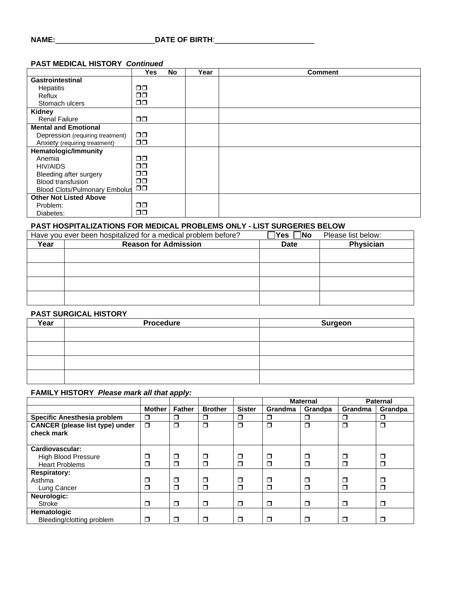# **NAME:**\_\_\_\_\_\_\_\_\_\_\_\_\_\_\_\_\_\_\_\_\_\_\_\_**DATE OF BIRTH**:\_\_\_\_\_\_\_\_\_\_\_\_\_\_\_\_\_\_\_\_\_\_\_\_

### **PAST MEDICAL HISTORY** *Continued*

|                                      | Yes           | No | Year | <b>Comment</b> |
|--------------------------------------|---------------|----|------|----------------|
| Gastrointestinal                     |               |    |      |                |
| Hepatitis                            | $\Box$ $\Box$ |    |      |                |
| Reflux                               | $\Box$ $\Box$ |    |      |                |
| Stomach ulcers                       | $\Box$ $\Box$ |    |      |                |
| Kidney                               |               |    |      |                |
| <b>Renal Failure</b>                 | $\Box$ $\Box$ |    |      |                |
| <b>Mental and Emotional</b>          |               |    |      |                |
| Depression (requiring treatment)     | $\Box$ $\Box$ |    |      |                |
| Anxiety (requiring treatment)        | $\Box$ $\Box$ |    |      |                |
| <b>Hematologic/Immunity</b>          |               |    |      |                |
| Anemia                               | $\Box$ $\Box$ |    |      |                |
| HIV/AIDS                             | $\Box$ $\Box$ |    |      |                |
| Bleeding after surgery               | $\Box$ $\Box$ |    |      |                |
| <b>Blood transfusion</b>             | ⊓⊓            |    |      |                |
| <b>Blood Clots/Pulmonary Embolus</b> | $\square$     |    |      |                |
| <b>Other Not Listed Above</b>        |               |    |      |                |
| Problem:                             | $\Box$ $\Box$ |    |      |                |
| Diabetes:                            | $\Box$ $\Box$ |    |      |                |

## **PAST HOSPITALIZATIONS FOR MEDICAL PROBLEMS ONLY - LIST SURGERIES BELOW**

|      | Have you ever been hospitalized for a medical problem before? |             | Please list below: |
|------|---------------------------------------------------------------|-------------|--------------------|
| Year | <b>Reason for Admission</b>                                   | <b>Date</b> | Physician          |
|      |                                                               |             |                    |
|      |                                                               |             |                    |
|      |                                                               |             |                    |
|      |                                                               |             |                    |

#### **PAST SURGICAL HISTORY**

| Year | <b>Procedure</b> | Surgeon |
|------|------------------|---------|
|      |                  |         |
|      |                  |         |
|      |                  |         |
|      |                  |         |

### **FAMILY HISTORY** *Please mark all that apply:*

|                                                      |               |               |                |               | <b>Maternal</b> |         | <b>Paternal</b> |         |
|------------------------------------------------------|---------------|---------------|----------------|---------------|-----------------|---------|-----------------|---------|
|                                                      | <b>Mother</b> | <b>Father</b> | <b>Brother</b> | <b>Sister</b> | Grandma         | Grandpa | Grandma         | Grandpa |
| Specific Anesthesia problem                          | ⊓             | $\Box$        | $\Box$         | ⊓             | ⊓               | □       | ◘               | $\Box$  |
| <b>CANCER</b> (please list type) under<br>check mark | $\Box$        | $\Box$        | $\Box$         | Ω             | $\Box$          | $\Box$  | $\Box$          | $\Box$  |
| Cardiovascular:                                      |               |               |                |               |                 |         |                 |         |
| <b>High Blood Pressure</b>                           | □             | ◘             | $\Box$         | ◻             | Π               | ◻       | ◘               | □       |
| <b>Heart Problems</b>                                | ⊓             | $\Box$        | $\Box$         | ⊓             | Ω               | $\Box$  | $\Box$          | $\Box$  |
| <b>Respiratory:</b>                                  |               |               |                |               |                 |         |                 |         |
| Asthma                                               | □             | σ             | $\Box$         | Ω             | Π               | □       | σ               | □       |
| Lung Cancer                                          |               | $\Box$        | $\Box$         | ⊓             | Π               | ⊓       | $\Box$          | ⊓       |
| Neurologic:                                          |               |               |                |               |                 |         |                 |         |
| Stroke                                               | π             | $\Box$        | $\Box$         | $\Box$        | $\Box$          | σ       | $\Box$          | $\Box$  |
| <b>Hematologic</b>                                   |               |               |                |               |                 |         |                 |         |
| Bleeding/clotting problem                            | □             | □             | σ              | Π             | $\Box$          | σ       | π               | $\Box$  |